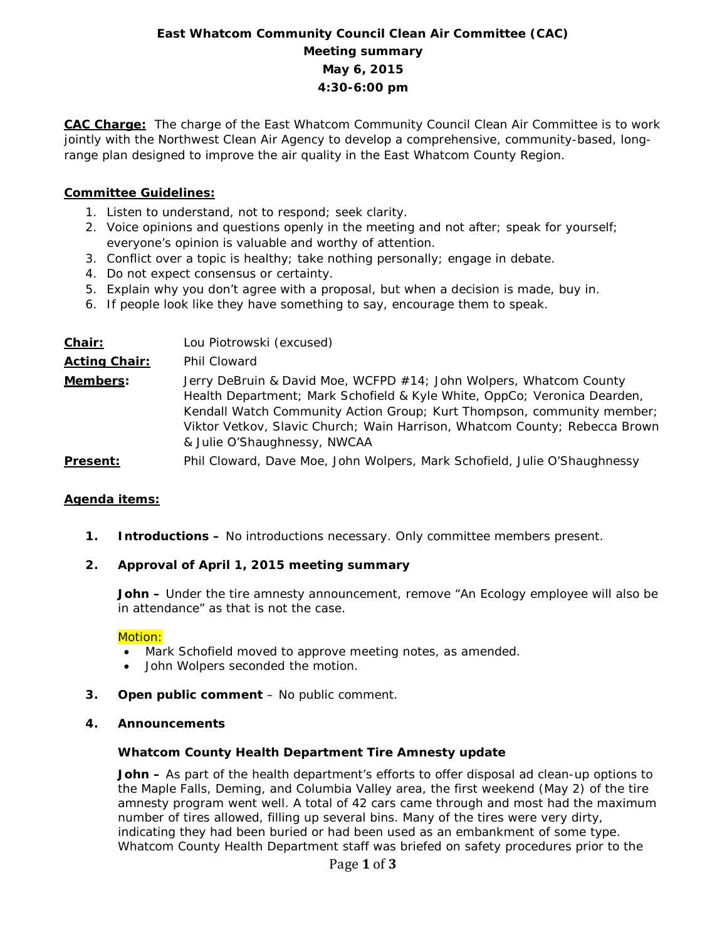# **East Whatcom Community Council Clean Air Committee (CAC) Meeting summary May 6, 2015 4:30-6:00 pm**

**CAC Charge:** The charge of the East Whatcom Community Council Clean Air Committee is to work jointly with the Northwest Clean Air Agency to develop a comprehensive, community-based, longrange plan designed to improve the air quality in the East Whatcom County Region.

### **Committee Guidelines:**

- 1. Listen to understand, not to respond; seek clarity.
- 2. Voice opinions and questions openly in the meeting and not after; speak for yourself; everyone's opinion is valuable and worthy of attention.
- 3. Conflict over a topic is healthy; take nothing personally; engage in debate.
- 4. Do not expect consensus or certainty.
- 5. Explain why you don't agree with a proposal, but when a decision is made, buy in.
- 6. If people look like they have something to say, encourage them to speak.

| Chair:               | Lou Piotrowski (excused)                                                                                                                                                                                                                                                                                                               |
|----------------------|----------------------------------------------------------------------------------------------------------------------------------------------------------------------------------------------------------------------------------------------------------------------------------------------------------------------------------------|
| <b>Acting Chair:</b> | Phil Cloward                                                                                                                                                                                                                                                                                                                           |
| Members:             | Jerry DeBruin & David Moe, WCFPD #14; John Wolpers, Whatcom County<br>Health Department; Mark Schofield & Kyle White, OppCo; Veronica Dearden,<br>Kendall Watch Community Action Group; Kurt Thompson, community member;<br>Viktor Vetkov, Slavic Church; Wain Harrison, Whatcom County; Rebecca Brown<br>& Julie O'Shaughnessy, NWCAA |
| <b>Present:</b>      | Phil Cloward, Dave Moe, John Wolpers, Mark Schofield, Julie O'Shaughnessy                                                                                                                                                                                                                                                              |

#### **Agenda items:**

**1. Introductions –** No introductions necessary. Only committee members present.

#### **2. Approval of April 1, 2015 meeting summary**

**John –** Under the tire amnesty announcement, remove "An Ecology employee will also be in attendance" as that is not the case.

#### Motion:

- Mark Schofield moved to approve meeting notes, as amended.
- John Wolpers seconded the motion.
- **3. Open public comment**  No public comment.

#### **4. Announcements**

#### **Whatcom County Health Department Tire Amnesty update**

**John –** As part of the health department's efforts to offer disposal ad clean-up options to the Maple Falls, Deming, and Columbia Valley area, the first weekend (May 2) of the tire amnesty program went well. A total of 42 cars came through and most had the maximum number of tires allowed, filling up several bins. Many of the tires were very dirty, indicating they had been buried or had been used as an embankment of some type. Whatcom County Health Department staff was briefed on safety procedures prior to the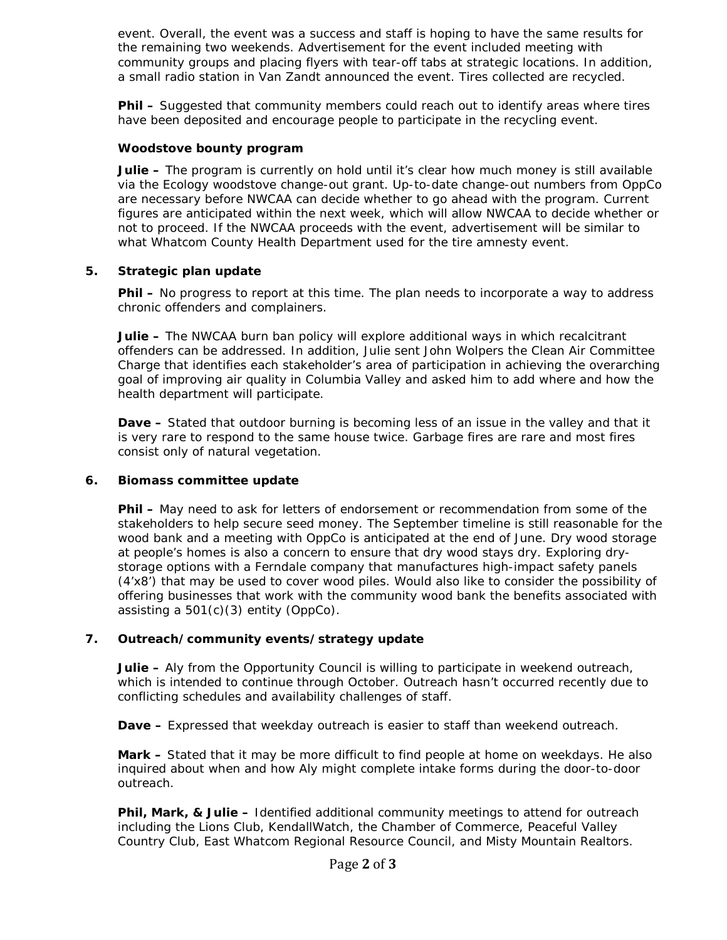event. Overall, the event was a success and staff is hoping to have the same results for the remaining two weekends. Advertisement for the event included meeting with community groups and placing flyers with tear-off tabs at strategic locations. In addition, a small radio station in Van Zandt announced the event. Tires collected are recycled.

**Phil –** Suggested that community members could reach out to identify areas where tires have been deposited and encourage people to participate in the recycling event.

#### **Woodstove bounty program**

**Julie –** The program is currently on hold until it's clear how much money is still available via the Ecology woodstove change-out grant. Up-to-date change-out numbers from OppCo are necessary before NWCAA can decide whether to go ahead with the program. Current figures are anticipated within the next week, which will allow NWCAA to decide whether or not to proceed. If the NWCAA proceeds with the event, advertisement will be similar to what Whatcom County Health Department used for the tire amnesty event.

#### **5. Strategic plan update**

**Phil –** No progress to report at this time. The plan needs to incorporate a way to address chronic offenders and complainers.

**Julie –** The NWCAA burn ban policy will explore additional ways in which recalcitrant offenders can be addressed. In addition, Julie sent John Wolpers the Clean Air Committee Charge that identifies each stakeholder's area of participation in achieving the overarching goal of improving air quality in Columbia Valley and asked him to add where and how the health department will participate.

**Dave –** Stated that outdoor burning is becoming less of an issue in the valley and that it is very rare to respond to the same house twice. Garbage fires are rare and most fires consist only of natural vegetation.

#### **6. Biomass committee update**

**Phil –** May need to ask for letters of endorsement or recommendation from some of the stakeholders to help secure seed money. The September timeline is still reasonable for the wood bank and a meeting with OppCo is anticipated at the end of June. Dry wood storage at people's homes is also a concern to ensure that dry wood stays dry. Exploring drystorage options with a Ferndale company that manufactures high-impact safety panels (4'x8') that may be used to cover wood piles. Would also like to consider the possibility of offering businesses that work with the community wood bank the benefits associated with assisting a  $501(c)(3)$  entity (OppCo).

## **7. Outreach/community events/strategy update**

**Julie –** Aly from the Opportunity Council is willing to participate in weekend outreach, which is intended to continue through October. Outreach hasn't occurred recently due to conflicting schedules and availability challenges of staff.

**Dave –** Expressed that weekday outreach is easier to staff than weekend outreach.

**Mark –** Stated that it may be more difficult to find people at home on weekdays. He also inquired about when and how Aly might complete intake forms during the door-to-door outreach.

**Phil, Mark, & Julie –** Identified additional community meetings to attend for outreach including the Lions Club, KendallWatch, the Chamber of Commerce, Peaceful Valley Country Club, East Whatcom Regional Resource Council, and Misty Mountain Realtors.